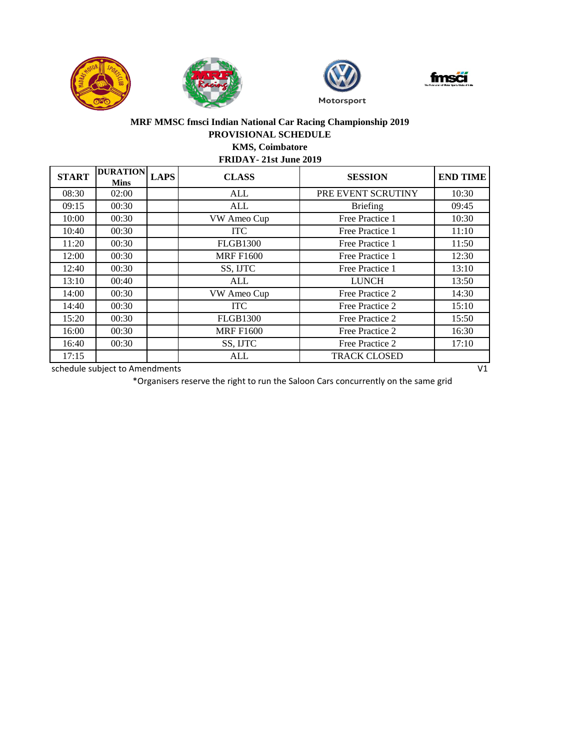







## **MRF MMSC fmsci Indian National Car Racing Championship 2019 PROVISIONAL SCHEDULE KMS, Coimbatore**

**FRIDAY- 21st June 2019**

| <b>START</b> | <b>DURATION</b><br><b>Mins</b> | <b>LAPS</b> | <b>CLASS</b>     | <b>SESSION</b>      | <b>END TIME</b> |
|--------------|--------------------------------|-------------|------------------|---------------------|-----------------|
| 08:30        | 02:00                          |             | ALL              | PRE EVENT SCRUTINY  | 10:30           |
| 09:15        | 00:30                          |             | <b>ALL</b>       | <b>Briefing</b>     | 09:45           |
| 10:00        | 00:30                          |             | VW Ameo Cup      | Free Practice 1     | 10:30           |
| 10:40        | 00:30                          |             | <b>ITC</b>       | Free Practice 1     | 11:10           |
| 11:20        | 00:30                          |             | <b>FLGB1300</b>  | Free Practice 1     | 11:50           |
| 12:00        | 00:30                          |             | <b>MRF F1600</b> | Free Practice 1     | 12:30           |
| 12:40        | 00:30                          |             | SS, IJTC         | Free Practice 1     | 13:10           |
| 13:10        | 00:40                          |             | <b>ALL</b>       | <b>LUNCH</b>        | 13:50           |
| 14:00        | 00:30                          |             | VW Ameo Cup      | Free Practice 2     | 14:30           |
| 14:40        | 00:30                          |             | <b>ITC</b>       | Free Practice 2     | 15:10           |
| 15:20        | 00:30                          |             | <b>FLGB1300</b>  | Free Practice 2     | 15:50           |
| 16:00        | 00:30                          |             | <b>MRF F1600</b> | Free Practice 2     | 16:30           |
| 16:40        | 00:30                          |             | SS, IJTC         | Free Practice 2     | 17:10           |
| 17:15        |                                |             | ALL              | <b>TRACK CLOSED</b> |                 |

schedule subject to Amendments V1

\*Organisers reserve the right to run the Saloon Cars concurrently on the same grid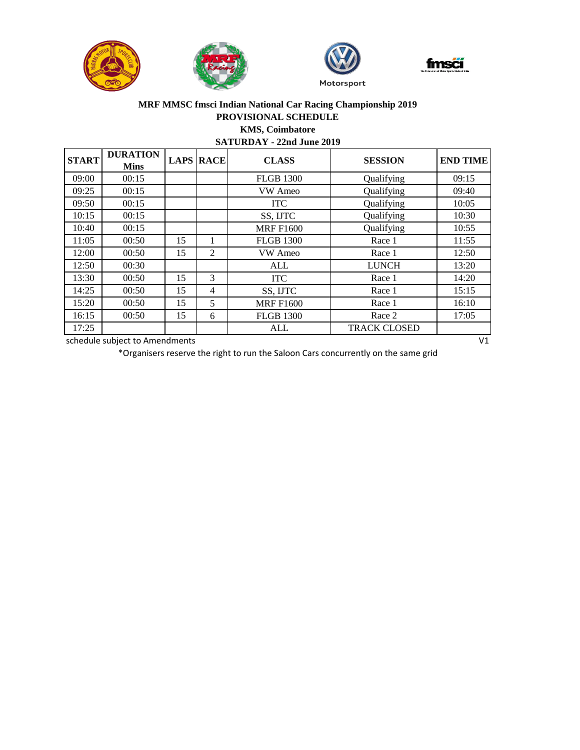







## **MRF MMSC fmsci Indian National Car Racing Championship 2019 PROVISIONAL SCHEDULE KMS, Coimbatore**

## **SATURDAY - 22nd June 2019**

| <b>START</b> | <b>DURATION</b><br><b>Mins</b> |    | <b>LAPS RACE</b> | <b>CLASS</b>     | <b>SESSION</b>      | <b>END TIME</b> |
|--------------|--------------------------------|----|------------------|------------------|---------------------|-----------------|
| 09:00        | 00:15                          |    |                  | <b>FLGB 1300</b> | Qualifying          | 09:15           |
| 09:25        | 00:15                          |    |                  | VW Ameo          | Qualifying          | 09:40           |
| 09:50        | 00:15                          |    |                  | <b>ITC</b>       | Qualifying          | 10:05           |
| 10:15        | 00:15                          |    |                  | SS, IJTC         | Qualifying          | 10:30           |
| 10:40        | 00:15                          |    |                  | <b>MRF F1600</b> | Qualifying          | 10:55           |
| 11:05        | 00:50                          | 15 | 1                | <b>FLGB 1300</b> | Race 1              | 11:55           |
| 12:00        | 00:50                          | 15 | 2                | VW Ameo          | Race 1              | 12:50           |
| 12:50        | 00:30                          |    |                  | ALL              | <b>LUNCH</b>        | 13:20           |
| 13:30        | 00:50                          | 15 | 3                | <b>ITC</b>       | Race 1              | 14:20           |
| 14:25        | 00:50                          | 15 | 4                | SS, IJTC         | Race 1              | 15:15           |
| 15:20        | 00:50                          | 15 | 5                | <b>MRF F1600</b> | Race 1              | 16:10           |
| 16:15        | 00:50                          | 15 | 6                | <b>FLGB 1300</b> | Race 2              | 17:05           |
| 17:25        |                                |    |                  | ALL              | <b>TRACK CLOSED</b> |                 |

schedule subject to Amendments V1

\*Organisers reserve the right to run the Saloon Cars concurrently on the same grid